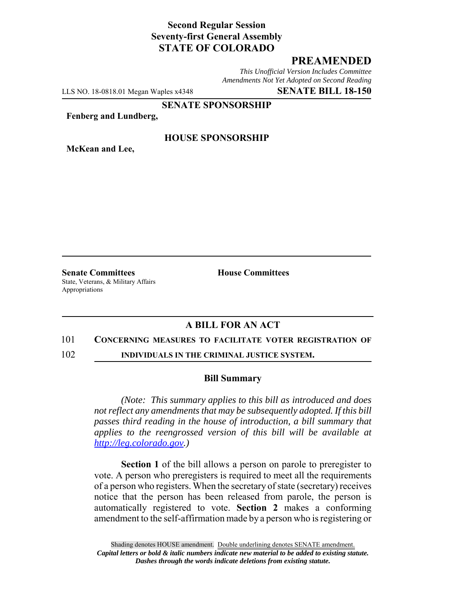## **Second Regular Session Seventy-first General Assembly STATE OF COLORADO**

### **PREAMENDED**

*This Unofficial Version Includes Committee Amendments Not Yet Adopted on Second Reading*

LLS NO. 18-0818.01 Megan Waples x4348 **SENATE BILL 18-150**

**SENATE SPONSORSHIP**

**Fenberg and Lundberg,**

**McKean and Lee,**

#### **HOUSE SPONSORSHIP**

**Senate Committees House Committees** State, Veterans, & Military Affairs Appropriations

# **A BILL FOR AN ACT**

#### 101 **CONCERNING MEASURES TO FACILITATE VOTER REGISTRATION OF**

102 **INDIVIDUALS IN THE CRIMINAL JUSTICE SYSTEM.**

#### **Bill Summary**

*(Note: This summary applies to this bill as introduced and does not reflect any amendments that may be subsequently adopted. If this bill passes third reading in the house of introduction, a bill summary that applies to the reengrossed version of this bill will be available at http://leg.colorado.gov.)*

**Section 1** of the bill allows a person on parole to preregister to vote. A person who preregisters is required to meet all the requirements of a person who registers. When the secretary of state (secretary) receives notice that the person has been released from parole, the person is automatically registered to vote. **Section 2** makes a conforming amendment to the self-affirmation made by a person who is registering or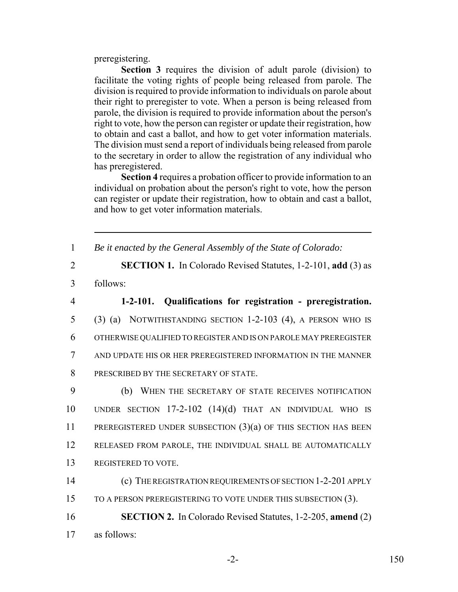preregistering.

**Section 3** requires the division of adult parole (division) to facilitate the voting rights of people being released from parole. The division is required to provide information to individuals on parole about their right to preregister to vote. When a person is being released from parole, the division is required to provide information about the person's right to vote, how the person can register or update their registration, how to obtain and cast a ballot, and how to get voter information materials. The division must send a report of individuals being released from parole to the secretary in order to allow the registration of any individual who has preregistered.

**Section 4** requires a probation officer to provide information to an individual on probation about the person's right to vote, how the person can register or update their registration, how to obtain and cast a ballot, and how to get voter information materials.

1 *Be it enacted by the General Assembly of the State of Colorado:*

- 2 **SECTION 1.** In Colorado Revised Statutes, 1-2-101, **add** (3) as
- 3 follows:

 **1-2-101. Qualifications for registration - preregistration.** (3) (a) NOTWITHSTANDING SECTION 1-2-103 (4), A PERSON WHO IS OTHERWISE QUALIFIED TO REGISTER AND IS ON PAROLE MAY PREREGISTER AND UPDATE HIS OR HER PREREGISTERED INFORMATION IN THE MANNER 8 PRESCRIBED BY THE SECRETARY OF STATE.

 (b) WHEN THE SECRETARY OF STATE RECEIVES NOTIFICATION UNDER SECTION 17-2-102 (14)(d) THAT AN INDIVIDUAL WHO IS PREREGISTERED UNDER SUBSECTION (3)(a) OF THIS SECTION HAS BEEN RELEASED FROM PAROLE, THE INDIVIDUAL SHALL BE AUTOMATICALLY REGISTERED TO VOTE.

14 (c) THE REGISTRATION REQUIREMENTS OF SECTION 1-2-201 APPLY 15 TO A PERSON PREREGISTERING TO VOTE UNDER THIS SUBSECTION (3).

16 **SECTION 2.** In Colorado Revised Statutes, 1-2-205, **amend** (2) 17 as follows: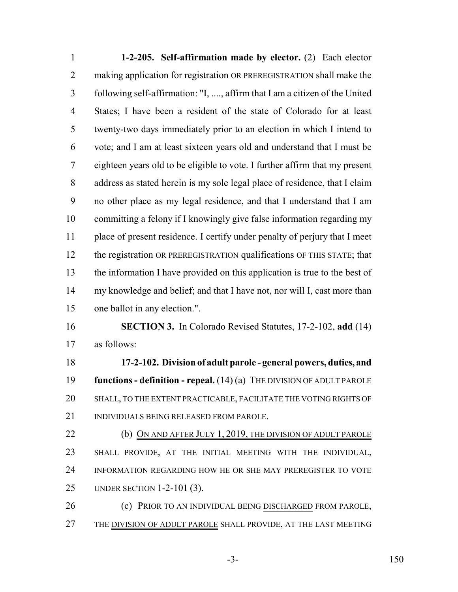**1-2-205. Self-affirmation made by elector.** (2) Each elector making application for registration OR PREREGISTRATION shall make the following self-affirmation: "I, ...., affirm that I am a citizen of the United States; I have been a resident of the state of Colorado for at least twenty-two days immediately prior to an election in which I intend to vote; and I am at least sixteen years old and understand that I must be eighteen years old to be eligible to vote. I further affirm that my present address as stated herein is my sole legal place of residence, that I claim no other place as my legal residence, and that I understand that I am committing a felony if I knowingly give false information regarding my place of present residence. I certify under penalty of perjury that I meet 12 the registration OR PREREGISTRATION qualifications OF THIS STATE; that the information I have provided on this application is true to the best of my knowledge and belief; and that I have not, nor will I, cast more than one ballot in any election.". **SECTION 3.** In Colorado Revised Statutes, 17-2-102, **add** (14) as follows: **17-2-102. Division of adult parole - general powers, duties, and functions - definition - repeal.** (14) (a) THE DIVISION OF ADULT PAROLE SHALL, TO THE EXTENT PRACTICABLE, FACILITATE THE VOTING RIGHTS OF INDIVIDUALS BEING RELEASED FROM PAROLE. 22 (b) ON AND AFTER JULY 1, 2019, THE DIVISION OF ADULT PAROLE SHALL PROVIDE, AT THE INITIAL MEETING WITH THE INDIVIDUAL, INFORMATION REGARDING HOW HE OR SHE MAY PREREGISTER TO VOTE

UNDER SECTION 1-2-101 (3).

 (c) PRIOR TO AN INDIVIDUAL BEING DISCHARGED FROM PAROLE, 27 THE DIVISION OF ADULT PAROLE SHALL PROVIDE, AT THE LAST MEETING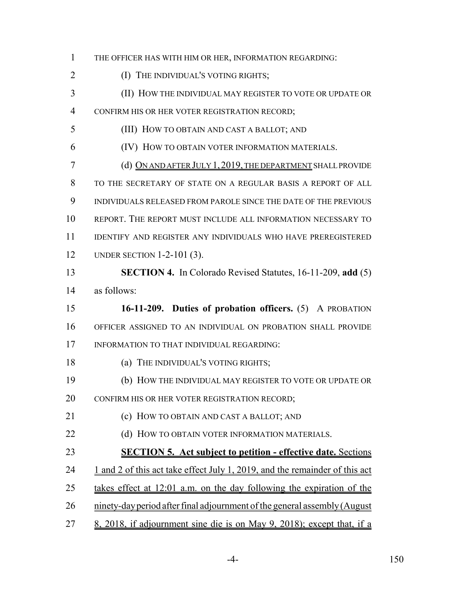THE OFFICER HAS WITH HIM OR HER, INFORMATION REGARDING: **(I) THE INDIVIDUAL'S VOTING RIGHTS;**  (II) HOW THE INDIVIDUAL MAY REGISTER TO VOTE OR UPDATE OR CONFIRM HIS OR HER VOTER REGISTRATION RECORD; (III) HOW TO OBTAIN AND CAST A BALLOT; AND (IV) HOW TO OBTAIN VOTER INFORMATION MATERIALS. (d) ON AND AFTER JULY 1,2019, THE DEPARTMENT SHALL PROVIDE TO THE SECRETARY OF STATE ON A REGULAR BASIS A REPORT OF ALL INDIVIDUALS RELEASED FROM PAROLE SINCE THE DATE OF THE PREVIOUS REPORT. THE REPORT MUST INCLUDE ALL INFORMATION NECESSARY TO IDENTIFY AND REGISTER ANY INDIVIDUALS WHO HAVE PREREGISTERED UNDER SECTION 1-2-101 (3). **SECTION 4.** In Colorado Revised Statutes, 16-11-209, **add** (5) as follows: **16-11-209. Duties of probation officers.** (5) A PROBATION OFFICER ASSIGNED TO AN INDIVIDUAL ON PROBATION SHALL PROVIDE INFORMATION TO THAT INDIVIDUAL REGARDING: 18 (a) THE INDIVIDUAL'S VOTING RIGHTS; (b) HOW THE INDIVIDUAL MAY REGISTER TO VOTE OR UPDATE OR CONFIRM HIS OR HER VOTER REGISTRATION RECORD; (c) HOW TO OBTAIN AND CAST A BALLOT; AND **(d) HOW TO OBTAIN VOTER INFORMATION MATERIALS. SECTION 5. Act subject to petition - effective date.** Sections 24 1 and 2 of this act take effect July 1, 2019, and the remainder of this act takes effect at 12:01 a.m. on the day following the expiration of the ninety-day period after final adjournment of the general assembly (August 8, 2018, if adjournment sine die is on May 9, 2018); except that, if a